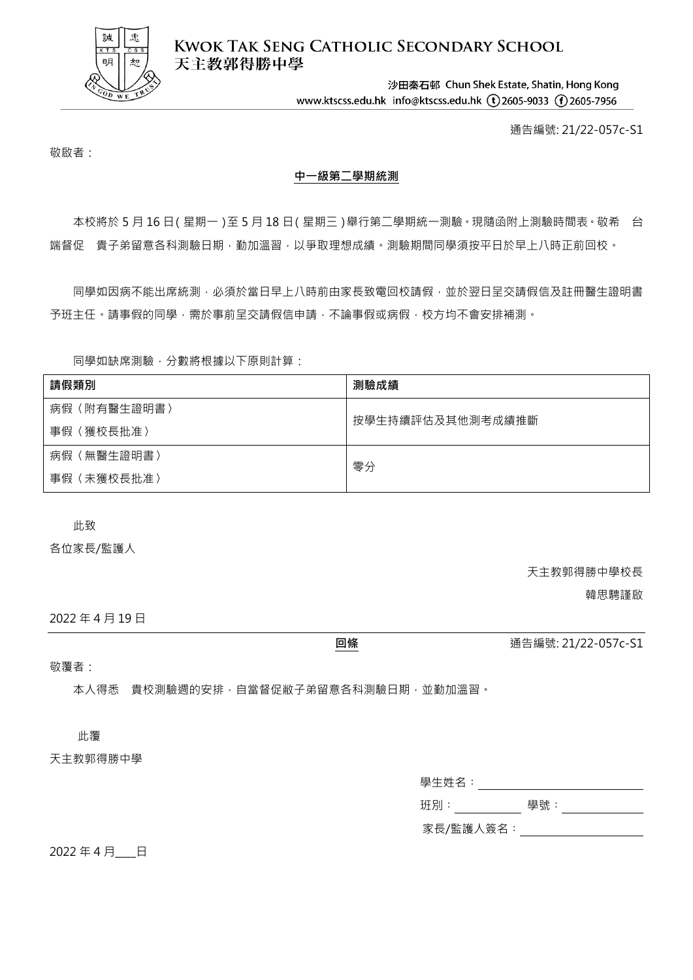

**KWOK TAK SENG CATHOLIC SECONDARY SCHOOL** 天主教郭得勝中學

> 沙田秦石邨 Chun Shek Estate, Shatin, Hong Kong www.ktscss.edu.hk info@ktscss.edu.hk (t)2605-9033 (f)2605-7956

> > 通告編號: 21/22-057c-S1

敬啟者:

## **中一級第二學期統測**

本校將於 5 月 16 日(星期一)至 5 月 18 日(星期三)舉行第二學期統一測驗 · 現隨函附上測驗時間表 · 敬希 台 端督促 貴子弟留意各科測驗日期,勤加溫習,以爭取理想成績。測驗期間同學須按平日於早上八時正前回校。

同學如因病不能出席統測,必須於當日早上八時前由家長致電回校請假,並於翌日呈交請假信及註冊醫生證明書 予班主任。請事假的同學,需於事前呈交請假信申請,不論事假或病假,校方均不會安排補測。

同學如缺席測驗,分數將根據以下原則計算:

| 請假類別        | 測驗成績             |  |
|-------------|------------------|--|
| 病假〈附有醫生證明書〉 | 按學生持續評估及其他測考成績推斷 |  |
| 事假〈獲校長批准〉   |                  |  |
| 病假〈無醫生證明書〉  | 零分               |  |
| 事假〈未獲校長批准〉  |                  |  |

此致

各位家長/監護人

天主教郭得勝中學校長

韓思騁謹啟

2022 年 4 月 19 日

敬覆者:

本人得悉 貴校測驗週的安排,自當督促敝子弟留意各科測驗日期,並勤加溫習。

此覆

天主教郭得勝中學

| 學生姓名:     |     |  |
|-----------|-----|--|
| 班別:       | 學號: |  |
| 家長/監護人簽名: |     |  |

2022年4月 日

**回條** 通告編號: 21/22-057c-S1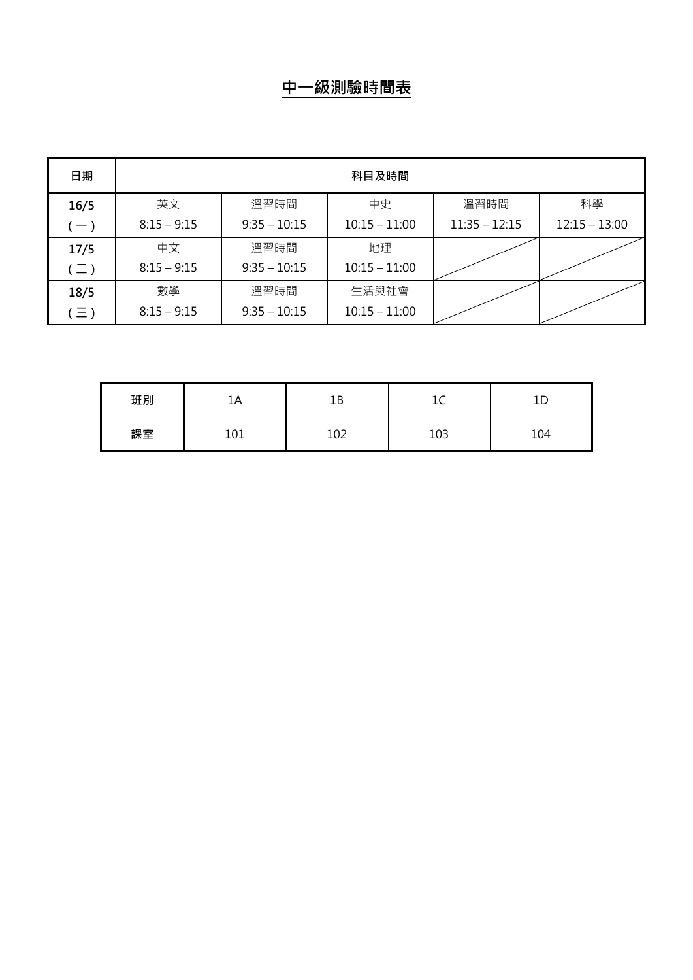## **中一級測驗時間表**

| 日期            | 科目及時間         |                |                 |                 |                 |
|---------------|---------------|----------------|-----------------|-----------------|-----------------|
| 16/5          | 英文            | 溫習時間           | 中史              | 溫習時間            | 科學              |
| $-$ )         | $8:15 - 9:15$ | $9:35 - 10:15$ | $10:15 - 11:00$ | $11:35 - 12:15$ | $12:15 - 13:00$ |
| 17/5          | 中文            | 溫習時間           | 地理              |                 |                 |
| $(\sqsupset)$ | $8:15 - 9:15$ | $9:35 - 10:15$ | $10:15 - 11:00$ |                 |                 |
| 18/5          | 數學            | 溫習時間           | 生活與社會           |                 |                 |
| $(\equiv)$    | $8:15 - 9:15$ | $9:35 - 10:15$ | $10:15 - 11:00$ |                 |                 |

| 班別 | 1Α        | 1В  | -<br>-- | --  |
|----|-----------|-----|---------|-----|
| 課室 | 01<br>⊥∪⊥ | 102 | 103     | 104 |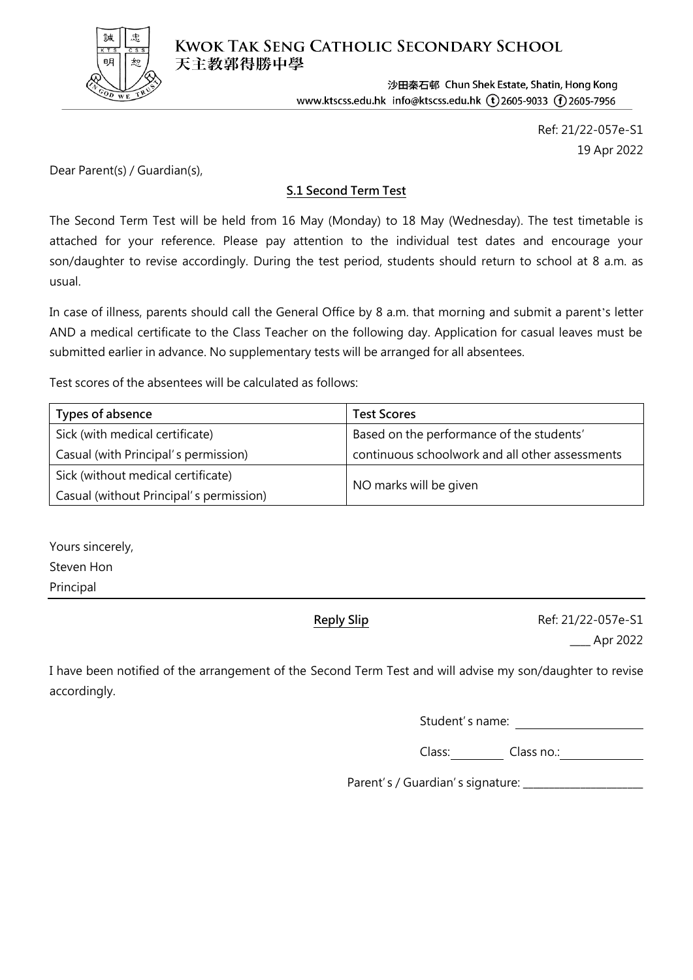

**KWOK TAK SENG CATHOLIC SECONDARY SCHOOL** 天主教郭得勝中學

> 沙田秦石邨 Chun Shek Estate, Shatin, Hong Kong www.ktscss.edu.hk info@ktscss.edu.hk (t) 2605-9033 (f) 2605-7956

> > Ref: 21/22-057e-S1 19 Apr 2022

Dear Parent(s) / Guardian(s),

## **S.1 Second Term Test**

The Second Term Test will be held from 16 May (Monday) to 18 May (Wednesday). The test timetable is attached for your reference. Please pay attention to the individual test dates and encourage your son/daughter to revise accordingly. During the test period, students should return to school at 8 a.m. as usual.

In case of illness, parents should call the General Office by 8 a.m. that morning and submit a parent's letter AND a medical certificate to the Class Teacher on the following day. Application for casual leaves must be submitted earlier in advance. No supplementary tests will be arranged for all absentees.

Test scores of the absentees will be calculated as follows:

| Types of absence                        | <b>Test Scores</b>                              |  |
|-----------------------------------------|-------------------------------------------------|--|
| Sick (with medical certificate)         | Based on the performance of the students'       |  |
| Casual (with Principal's permission)    | continuous schoolwork and all other assessments |  |
| Sick (without medical certificate)      |                                                 |  |
| Casual (without Principal's permission) | NO marks will be given                          |  |

Yours sincerely, Steven Hon Principal

**Reply Slip Ref: 21/22-057e-S1** \_\_\_\_ Apr 2022

I have been notified of the arrangement of the Second Term Test and will advise my son/daughter to revise accordingly.

Student's name:

Class: Class no.: Class no.:

Parent's / Guardian's signature: \_\_\_\_\_\_\_\_\_\_\_\_\_\_\_\_\_\_\_\_\_\_\_